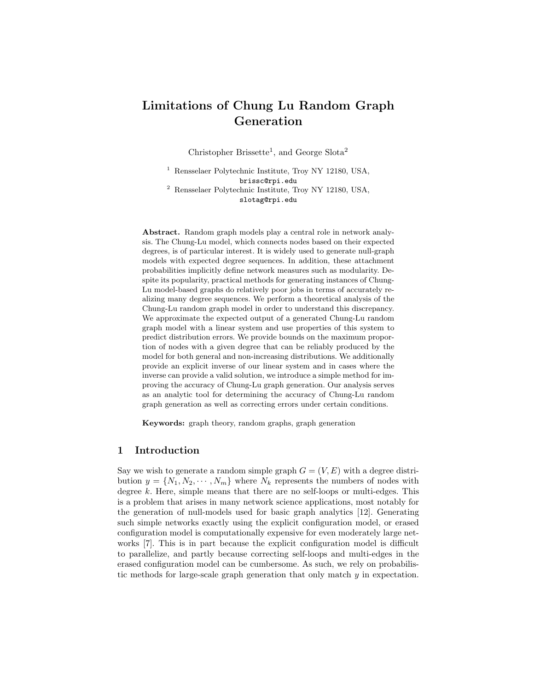# Limitations of Chung Lu Random Graph Generation

Christopher Brissette<sup>1</sup>, and George Slota<sup>2</sup>

<sup>1</sup> Rensselaer Polytechnic Institute, Troy NY 12180, USA, brissc@rpi.edu <sup>2</sup> Rensselaer Polytechnic Institute, Troy NY 12180, USA, slotag@rpi.edu

Abstract. Random graph models play a central role in network analysis. The Chung-Lu model, which connects nodes based on their expected degrees, is of particular interest. It is widely used to generate null-graph models with expected degree sequences. In addition, these attachment probabilities implicitly define network measures such as modularity. Despite its popularity, practical methods for generating instances of Chung-Lu model-based graphs do relatively poor jobs in terms of accurately realizing many degree sequences. We perform a theoretical analysis of the Chung-Lu random graph model in order to understand this discrepancy. We approximate the expected output of a generated Chung-Lu random graph model with a linear system and use properties of this system to predict distribution errors. We provide bounds on the maximum proportion of nodes with a given degree that can be reliably produced by the model for both general and non-increasing distributions. We additionally provide an explicit inverse of our linear system and in cases where the inverse can provide a valid solution, we introduce a simple method for improving the accuracy of Chung-Lu graph generation. Our analysis serves as an analytic tool for determining the accuracy of Chung-Lu random graph generation as well as correcting errors under certain conditions.

Keywords: graph theory, random graphs, graph generation

# 1 Introduction

Say we wish to generate a random simple graph  $G = (V, E)$  with a degree distribution  $y = \{N_1, N_2, \cdots, N_m\}$  where  $N_k$  represents the numbers of nodes with degree k. Here, simple means that there are no self-loops or multi-edges. This is a problem that arises in many network science applications, most notably for the generation of null-models used for basic graph analytics [12]. Generating such simple networks exactly using the explicit configuration model, or erased configuration model is computationally expensive for even moderately large networks [7]. This is in part because the explicit configuration model is difficult to parallelize, and partly because correcting self-loops and multi-edges in the erased configuration model can be cumbersome. As such, we rely on probabilistic methods for large-scale graph generation that only match y in expectation.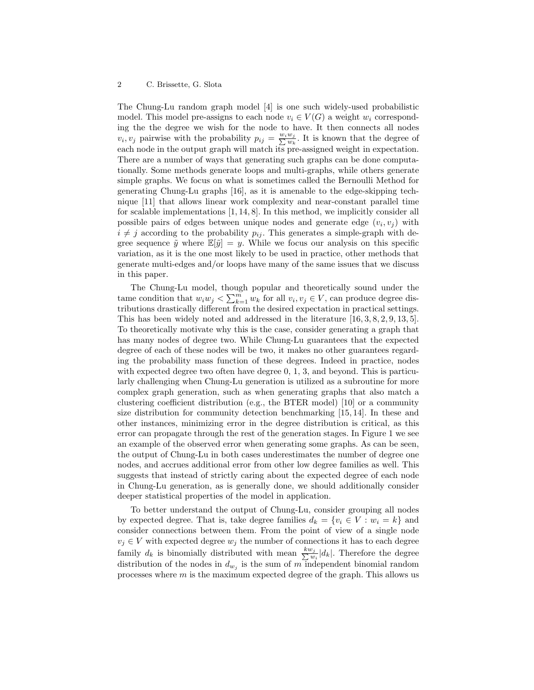#### 2 C. Brissette, G. Slota

The Chung-Lu random graph model [4] is one such widely-used probabilistic model. This model pre-assigns to each node  $v_i \in V(G)$  a weight  $w_i$  corresponding the the degree we wish for the node to have. It then connects all nodes  $v_i, v_j$  pairwise with the probability  $p_{ij} = \frac{w_i w_j}{\sum w_k}$ . It is known that the degree of each node in the output graph will match its pre-assigned weight in expectation. There are a number of ways that generating such graphs can be done computationally. Some methods generate loops and multi-graphs, while others generate simple graphs. We focus on what is sometimes called the Bernoulli Method for generating Chung-Lu graphs [16], as it is amenable to the edge-skipping technique [11] that allows linear work complexity and near-constant parallel time for scalable implementations [1, 14, 8]. In this method, we implicitly consider all possible pairs of edges between unique nodes and generate edge  $(v_i, v_j)$  with  $i \neq j$  according to the probability  $p_{ij}$ . This generates a simple-graph with degree sequence  $\tilde{y}$  where  $\mathbb{E}[\tilde{y}] = y$ . While we focus our analysis on this specific variation, as it is the one most likely to be used in practice, other methods that generate multi-edges and/or loops have many of the same issues that we discuss in this paper.

The Chung-Lu model, though popular and theoretically sound under the tame condition that  $w_i w_j < \sum_{k=1}^m w_k$  for all  $v_i, v_j \in V$ , can produce degree distributions drastically different from the desired expectation in practical settings. This has been widely noted and addressed in the literature [16, 3, 8, 2, 9, 13, 5]. To theoretically motivate why this is the case, consider generating a graph that has many nodes of degree two. While Chung-Lu guarantees that the expected degree of each of these nodes will be two, it makes no other guarantees regarding the probability mass function of these degrees. Indeed in practice, nodes with expected degree two often have degree  $0, 1, 3$ , and beyond. This is particularly challenging when Chung-Lu generation is utilized as a subroutine for more complex graph generation, such as when generating graphs that also match a clustering coefficient distribution (e.g., the BTER model) [10] or a community size distribution for community detection benchmarking [15, 14]. In these and other instances, minimizing error in the degree distribution is critical, as this error can propagate through the rest of the generation stages. In Figure 1 we see an example of the observed error when generating some graphs. As can be seen, the output of Chung-Lu in both cases underestimates the number of degree one nodes, and accrues additional error from other low degree families as well. This suggests that instead of strictly caring about the expected degree of each node in Chung-Lu generation, as is generally done, we should additionally consider deeper statistical properties of the model in application.

To better understand the output of Chung-Lu, consider grouping all nodes by expected degree. That is, take degree families  $d_k = \{v_i \in V : w_i = k\}$  and consider connections between them. From the point of view of a single node  $v_j \in V$  with expected degree  $w_j$  the number of connections it has to each degree family  $d_k$  is binomially distributed with mean  $\frac{kw_j}{\sum w_i}$  $\frac{v_j}{w_i}|d_k|$ . Therefore the degree distribution of the nodes in  $d_{w_j}$  is the sum of m independent binomial random processes where  $m$  is the maximum expected degree of the graph. This allows us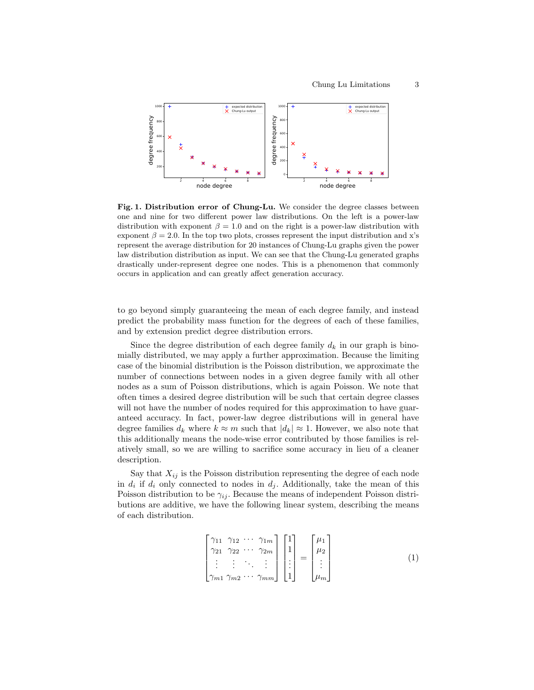

Fig. 1. Distribution error of Chung-Lu. We consider the degree classes between one and nine for two different power law distributions. On the left is a power-law distribution with exponent  $\beta = 1.0$  and on the right is a power-law distribution with exponent  $\beta = 2.0$ . In the top two plots, crosses represent the input distribution and x's represent the average distribution for 20 instances of Chung-Lu graphs given the power law distribution distribution as input. We can see that the Chung-Lu generated graphs drastically under-represent degree one nodes. This is a phenomenon that commonly occurs in application and can greatly affect generation accuracy.

to go beyond simply guaranteeing the mean of each degree family, and instead predict the probability mass function for the degrees of each of these families, and by extension predict degree distribution errors.

Since the degree distribution of each degree family  $d_k$  in our graph is binomially distributed, we may apply a further approximation. Because the limiting case of the binomial distribution is the Poisson distribution, we approximate the number of connections between nodes in a given degree family with all other nodes as a sum of Poisson distributions, which is again Poisson. We note that often times a desired degree distribution will be such that certain degree classes will not have the number of nodes required for this approximation to have guaranteed accuracy. In fact, power-law degree distributions will in general have degree families  $d_k$  where  $k \approx m$  such that  $|d_k| \approx 1$ . However, we also note that this additionally means the node-wise error contributed by those families is relatively small, so we are willing to sacrifice some accuracy in lieu of a cleaner description.

Say that  $X_{ij}$  is the Poisson distribution representing the degree of each node in  $d_i$  if  $d_i$  only connected to nodes in  $d_j$ . Additionally, take the mean of this Poisson distribution to be  $\gamma_{ij}$ . Because the means of independent Poisson distributions are additive, we have the following linear system, describing the means of each distribution.

$$
\begin{bmatrix}\n\gamma_{11} & \gamma_{12} & \cdots & \gamma_{1m} \\
\gamma_{21} & \gamma_{22} & \cdots & \gamma_{2m} \\
\vdots & \vdots & \ddots & \vdots \\
\gamma_{m1} & \gamma_{m2} & \cdots & \gamma_{mm}\n\end{bmatrix}\n\begin{bmatrix}\n1 \\
1 \\
\vdots \\
1\n\end{bmatrix}\n=\n\begin{bmatrix}\n\mu_1 \\
\mu_2 \\
\vdots \\
\mu_m\n\end{bmatrix}
$$
\n(1)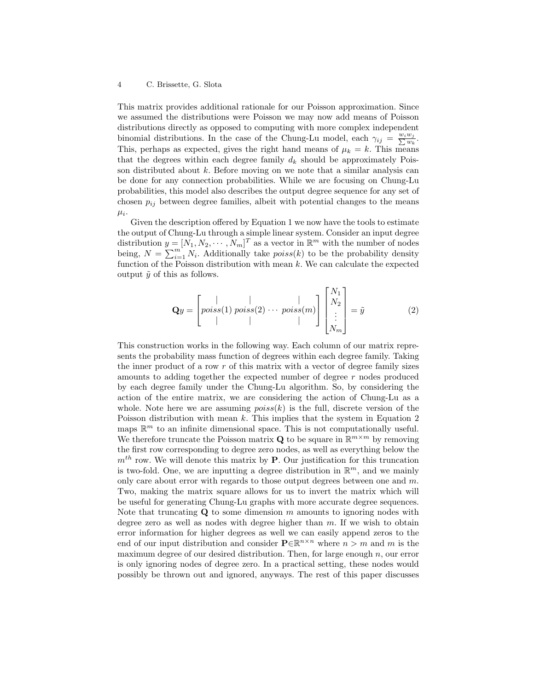#### 4 C. Brissette, G. Slota

This matrix provides additional rationale for our Poisson approximation. Since we assumed the distributions were Poisson we may now add means of Poisson distributions directly as opposed to computing with more complex independent binomial distributions. In the case of the Chung-Lu model, each  $\gamma_{ij} = \frac{w_i w_j}{\sum w_k}$ . This, perhaps as expected, gives the right hand means of  $\mu_k = k$ . This means that the degrees within each degree family  $d_k$  should be approximately Poisson distributed about  $k$ . Before moving on we note that a similar analysis can be done for any connection probabilities. While we are focusing on Chung-Lu probabilities, this model also describes the output degree sequence for any set of chosen  $p_{ij}$  between degree families, albeit with potential changes to the means  $\mu_i$ .

Given the description offered by Equation 1 we now have the tools to estimate the output of Chung-Lu through a simple linear system. Consider an input degree distribution  $y = [N_1, N_2, \cdots, N_m]^T$  as a vector in  $\mathbb{R}^m$  with the number of nodes being,  $N = \sum_{i=1}^{m} N_i$ . Additionally take  $poiss(k)$  to be the probability density function of the Poisson distribution with mean  $k$ . We can calculate the expected output  $\tilde{y}$  of this as follows.

$$
\mathbf{Q}y = \begin{bmatrix} | & | & | \\ \text{poiss}(1) & \text{poiss}(2) & \cdots & \text{poiss}(m) \\ | & | & | & | \end{bmatrix} \begin{bmatrix} N_1 \\ N_2 \\ \vdots \\ N_m \end{bmatrix} = \tilde{y} \tag{2}
$$

This construction works in the following way. Each column of our matrix represents the probability mass function of degrees within each degree family. Taking the inner product of a row  $r$  of this matrix with a vector of degree family sizes amounts to adding together the expected number of degree r nodes produced by each degree family under the Chung-Lu algorithm. So, by considering the action of the entire matrix, we are considering the action of Chung-Lu as a whole. Note here we are assuming  $poiss(k)$  is the full, discrete version of the Poisson distribution with mean k. This implies that the system in Equation 2 maps  $\mathbb{R}^m$  to an infinite dimensional space. This is not computationally useful. We therefore truncate the Poisson matrix **Q** to be square in  $\mathbb{R}^{m \times m}$  by removing the first row corresponding to degree zero nodes, as well as everything below the  $m<sup>th</sup>$  row. We will denote this matrix by **P**. Our justification for this truncation is two-fold. One, we are inputting a degree distribution in  $\mathbb{R}^m$ , and we mainly only care about error with regards to those output degrees between one and  $m$ . Two, making the matrix square allows for us to invert the matrix which will be useful for generating Chung-Lu graphs with more accurate degree sequences. Note that truncating  $Q$  to some dimension m amounts to ignoring nodes with degree zero as well as nodes with degree higher than  $m$ . If we wish to obtain error information for higher degrees as well we can easily append zeros to the end of our input distribution and consider  $\mathbf{P} \in \mathbb{R}^{n \times n}$  where  $n > m$  and m is the maximum degree of our desired distribution. Then, for large enough  $n$ , our error is only ignoring nodes of degree zero. In a practical setting, these nodes would possibly be thrown out and ignored, anyways. The rest of this paper discusses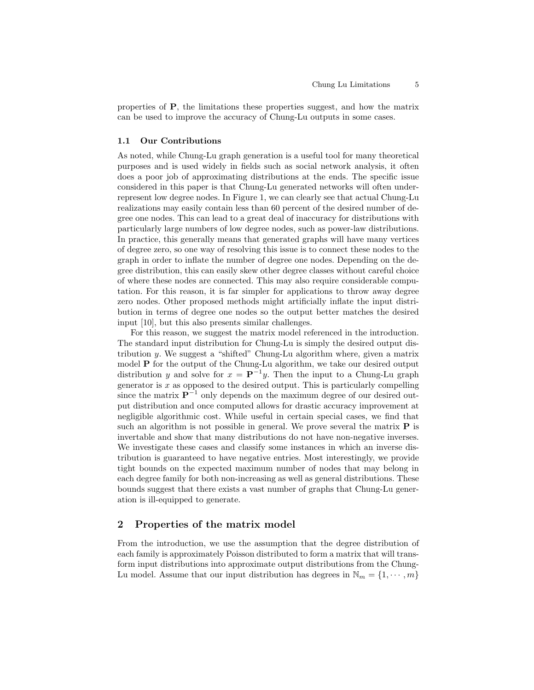properties of P, the limitations these properties suggest, and how the matrix can be used to improve the accuracy of Chung-Lu outputs in some cases.

## 1.1 Our Contributions

As noted, while Chung-Lu graph generation is a useful tool for many theoretical purposes and is used widely in fields such as social network analysis, it often does a poor job of approximating distributions at the ends. The specific issue considered in this paper is that Chung-Lu generated networks will often underrepresent low degree nodes. In Figure 1, we can clearly see that actual Chung-Lu realizations may easily contain less than 60 percent of the desired number of degree one nodes. This can lead to a great deal of inaccuracy for distributions with particularly large numbers of low degree nodes, such as power-law distributions. In practice, this generally means that generated graphs will have many vertices of degree zero, so one way of resolving this issue is to connect these nodes to the graph in order to inflate the number of degree one nodes. Depending on the degree distribution, this can easily skew other degree classes without careful choice of where these nodes are connected. This may also require considerable computation. For this reason, it is far simpler for applications to throw away degree zero nodes. Other proposed methods might artificially inflate the input distribution in terms of degree one nodes so the output better matches the desired input [10], but this also presents similar challenges.

For this reason, we suggest the matrix model referenced in the introduction. The standard input distribution for Chung-Lu is simply the desired output distribution y. We suggest a "shifted" Chung-Lu algorithm where, given a matrix model P for the output of the Chung-Lu algorithm, we take our desired output distribution y and solve for  $x = \mathbf{P}^{-1}y$ . Then the input to a Chung-Lu graph generator is  $x$  as opposed to the desired output. This is particularly compelling since the matrix  $\mathbf{P}^{-1}$  only depends on the maximum degree of our desired output distribution and once computed allows for drastic accuracy improvement at negligible algorithmic cost. While useful in certain special cases, we find that such an algorithm is not possible in general. We prove several the matrix  $P$  is invertable and show that many distributions do not have non-negative inverses. We investigate these cases and classify some instances in which an inverse distribution is guaranteed to have negative entries. Most interestingly, we provide tight bounds on the expected maximum number of nodes that may belong in each degree family for both non-increasing as well as general distributions. These bounds suggest that there exists a vast number of graphs that Chung-Lu generation is ill-equipped to generate.

# 2 Properties of the matrix model

From the introduction, we use the assumption that the degree distribution of each family is approximately Poisson distributed to form a matrix that will transform input distributions into approximate output distributions from the Chung-Lu model. Assume that our input distribution has degrees in  $\mathbb{N}_m = \{1, \dots, m\}$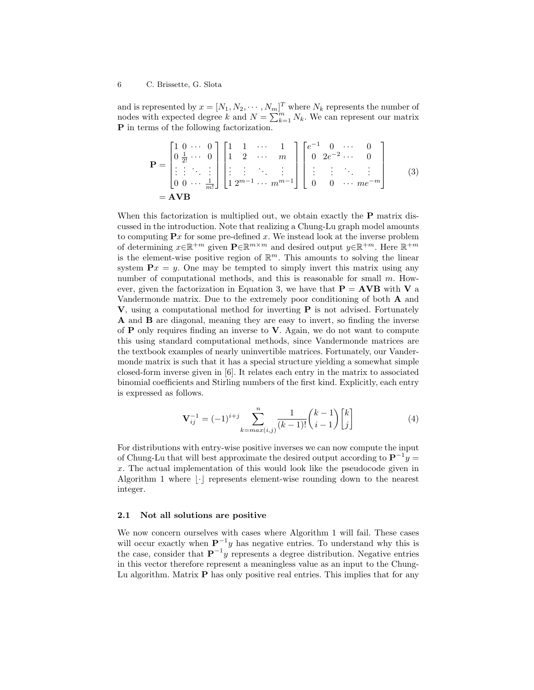and is represented by  $x = [N_1, N_2, \cdots, N_m]^T$  where  $N_k$  represents the number of nodes with expected degree k and  $N = \sum_{k=1}^{m} N_k$ . We can represent our matrix P in terms of the following factorization.

$$
\mathbf{P} = \begin{bmatrix} 1 & 0 & \cdots & 0 \\ 0 & \frac{1}{2!} & \cdots & 0 \\ \vdots & \vdots & \ddots & \vdots \\ 0 & 0 & \cdots & \frac{1}{m!} \end{bmatrix} \begin{bmatrix} 1 & 1 & \cdots & 1 \\ 1 & 2 & \cdots & m \\ \vdots & \vdots & \ddots & \vdots \\ 1 & 2^{m-1} & \cdots & m^{m-1} \end{bmatrix} \begin{bmatrix} e^{-1} & 0 & \cdots & 0 \\ 0 & 2e^{-2} & \cdots & 0 \\ \vdots & \vdots & \ddots & \vdots \\ 0 & 0 & \cdots & m e^{-m} \end{bmatrix}
$$
(3)  
= **AVB**

When this factorization is multiplied out, we obtain exactly the **P** matrix discussed in the introduction. Note that realizing a Chung-Lu graph model amounts to computing  $\mathbf{P}x$  for some pre-defined x. We instead look at the inverse problem of determining  $x \in \mathbb{R}^{+m}$  given  $\mathbf{P} \in \mathbb{R}^{m \times m}$  and desired output  $y \in \mathbb{R}^{+m}$ . Here  $\mathbb{R}^{+m}$ is the element-wise positive region of  $\mathbb{R}^m$ . This amounts to solving the linear system  $\mathbf{P}x = y$ . One may be tempted to simply invert this matrix using any number of computational methods, and this is reasonable for small  $m$ . However, given the factorization in Equation 3, we have that  $P = AVB$  with V a Vandermonde matrix. Due to the extremely poor conditioning of both A and V, using a computational method for inverting P is not advised. Fortunately A and B are diagonal, meaning they are easy to invert, so finding the inverse of  $P$  only requires finding an inverse to  $V$ . Again, we do not want to compute this using standard computational methods, since Vandermonde matrices are the textbook examples of nearly uninvertible matrices. Fortunately, our Vandermonde matrix is such that it has a special structure yielding a somewhat simple closed-form inverse given in [6]. It relates each entry in the matrix to associated binomial coefficients and Stirling numbers of the first kind. Explicitly, each entry is expressed as follows.

$$
\mathbf{V}_{ij}^{-1} = (-1)^{i+j} \sum_{k=max(i,j)}^{n} \frac{1}{(k-1)!} {k-1 \choose i-1} {k \choose j} \tag{4}
$$

For distributions with entry-wise positive inverses we can now compute the input of Chung-Lu that will best approximate the desired output according to  $\mathbf{P}^{-1}y =$ x. The actual implementation of this would look like the pseudocode given in Algorithm 1 where  $|\cdot|$  represents element-wise rounding down to the nearest integer.

## 2.1 Not all solutions are positive

We now concern ourselves with cases where Algorithm 1 will fail. These cases will occur exactly when  $\mathbf{P}^{-1}y$  has negative entries. To understand why this is the case, consider that  $\mathbf{P}^{-1}y$  represents a degree distribution. Negative entries in this vector therefore represent a meaningless value as an input to the Chung-Lu algorithm. Matrix P has only positive real entries. This implies that for any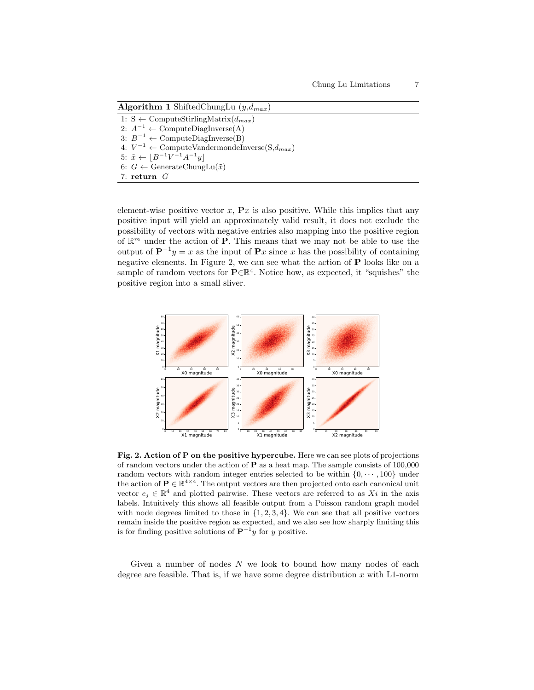Algorithm 1 ShiftedChungLu  $(y,d_{max})$ 

1: S  $\leftarrow$  ComputeStirlingMatrix( $d_{max}$ ) 2:  $A^{-1} \leftarrow$  ComputeDiagInverse(A) 3:  $B^{-1} \leftarrow$  ComputeDiagInverse(B) 4:  $V^{-1}$  ← ComputeVandermondeInverse(S, $d_{max}$ ) 5:  $\tilde{x} \leftarrow [B^{-1}V^{-1}A^{-1}y]$ 6:  $G \leftarrow$  GenerateChungLu $(\tilde{x})$ 7: return G

element-wise positive vector  $x$ ,  $\mathbf{P}x$  is also positive. While this implies that any positive input will yield an approximately valid result, it does not exclude the possibility of vectors with negative entries also mapping into the positive region of  $\mathbb{R}^m$  under the action of **P**. This means that we may not be able to use the output of  $\mathbf{P}^{-1}y = x$  as the input of  $\mathbf{P}x$  since x has the possibility of containing negative elements. In Figure 2, we can see what the action of  $P$  looks like on a sample of random vectors for  $\mathbf{P} \in \mathbb{R}^4$ . Notice how, as expected, it "squishes" the positive region into a small sliver.



Fig. 2. Action of P on the positive hypercube. Here we can see plots of projections of random vectors under the action of P as a heat map. The sample consists of 100,000 random vectors with random integer entries selected to be within  $\{0, \dots, 100\}$  under the action of  $P \in \mathbb{R}^{4 \times 4}$ . The output vectors are then projected onto each canonical unit vector  $e_j \in \mathbb{R}^4$  and plotted pairwise. These vectors are referred to as Xi in the axis labels. Intuitively this shows all feasible output from a Poisson random graph model with node degrees limited to those in  $\{1, 2, 3, 4\}$ . We can see that all positive vectors remain inside the positive region as expected, and we also see how sharply limiting this is for finding positive solutions of  $\mathbf{P}^{-1}y$  for y positive.

Given a number of nodes  $N$  we look to bound how many nodes of each degree are feasible. That is, if we have some degree distribution  $x$  with L1-norm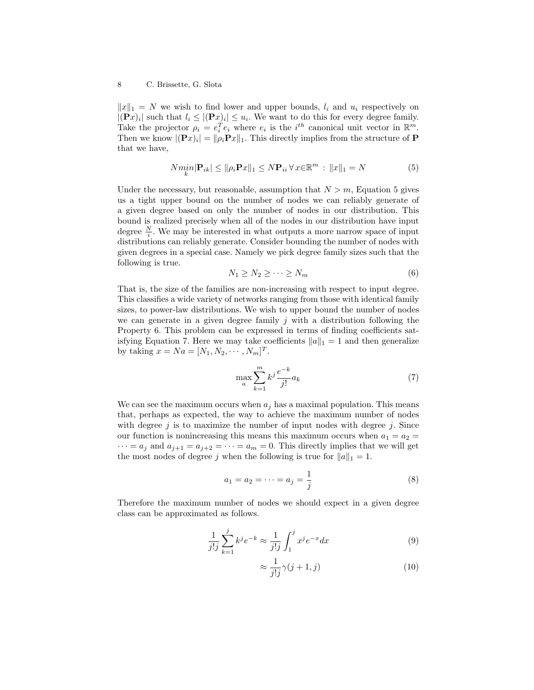$||x||_1 = N$  we wish to find lower and upper bounds,  $l_i$  and  $u_i$  respectively on  $|(\mathbf{P}x)_i|$  such that  $l_i \leq |(\mathbf{P}x)_i| \leq u_i$ . We want to do this for every degree family. Take the projector  $\rho_i = e_i^T e_i$  where  $e_i$  is the  $i^{th}$  canonical unit vector in  $\mathbb{R}^m$ . Then we know  $|(\mathbf{P}x)_i| = ||\rho_i \mathbf{P}x||_1$ . This directly implies from the structure of **P** that we have,

$$
N\min_{k} |\mathbf{P}_{ik}| \le ||\rho_i \mathbf{P}_x||_1 \le N\mathbf{P}_{ii} \forall x \in \mathbb{R}^m : ||x||_1 = N
$$
\n(5)

Under the necessary, but reasonable, assumption that  $N > m$ , Equation 5 gives us a tight upper bound on the number of nodes we can reliably generate of a given degree based on only the number of nodes in our distribution. This bound is realized precisely when all of the nodes in our distribution have input degree  $\frac{N}{i}$ . We may be interested in what outputs a more narrow space of input distributions can reliably generate. Consider bounding the number of nodes with given degrees in a special case. Namely we pick degree family sizes such that the following is true.

$$
N_1 \ge N_2 \ge \cdots \ge N_m \tag{6}
$$

That is, the size of the families are non-increasing with respect to input degree. This classifies a wide variety of networks ranging from those with identical family sizes, to power-law distributions. We wish to upper bound the number of nodes we can generate in a given degree family  $j$  with a distribution following the Property 6. This problem can be expressed in terms of finding coefficients satisfying Equation 7. Here we may take coefficients  $||a||_1 = 1$  and then generalize by taking  $x = Na = [N_1, N_2, \dots, N_m]^T$ .

$$
\max_{a} \sum_{k=1}^{m} k^j \frac{e^{-k}}{j!} a_k \tag{7}
$$

We can see the maximum occurs when  $a_j$  has a maximal population. This means that, perhaps as expected, the way to achieve the maximum number of nodes with degree  $j$  is to maximize the number of input nodes with degree  $j$ . Since our function is nonincreasing this means this maximum occurs when  $a_1 = a_2$  $\cdots = a_j$  and  $a_{j+1} = a_{j+2} = \cdots = a_m = 0$ . This directly implies that we will get the most nodes of degree j when the following is true for  $||a||_1 = 1$ .

$$
a_1 = a_2 = \dots = a_j = \frac{1}{j}
$$
 (8)

Therefore the maximum number of nodes we should expect in a given degree class can be approximated as follows.

$$
\frac{1}{j!j} \sum_{k=1}^{j} k^{j} e^{-k} \approx \frac{1}{j!j} \int_{1}^{j} x^{j} e^{-x} dx
$$
 (9)

$$
\approx \frac{1}{j!j}\gamma(j+1,j) \tag{10}
$$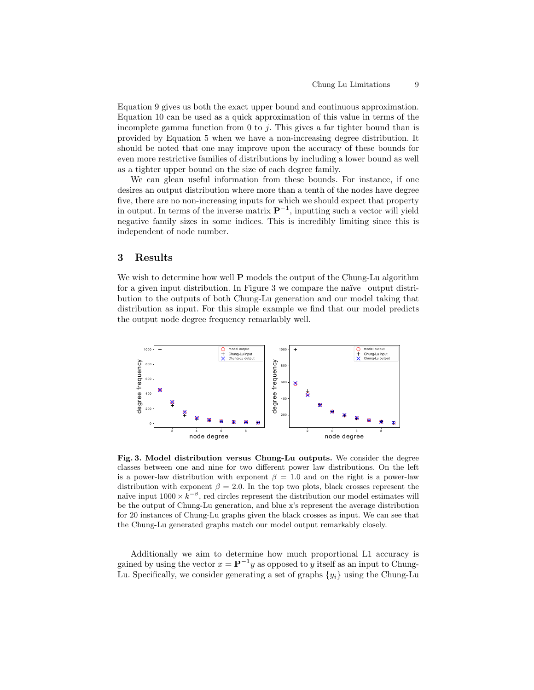Equation 9 gives us both the exact upper bound and continuous approximation. Equation 10 can be used as a quick approximation of this value in terms of the incomplete gamma function from 0 to  $j$ . This gives a far tighter bound than is provided by Equation 5 when we have a non-increasing degree distribution. It should be noted that one may improve upon the accuracy of these bounds for even more restrictive families of distributions by including a lower bound as well as a tighter upper bound on the size of each degree family.

We can glean useful information from these bounds. For instance, if one desires an output distribution where more than a tenth of the nodes have degree five, there are no non-increasing inputs for which we should expect that property in output. In terms of the inverse matrix  $\mathbf{P}^{-1}$ , inputting such a vector will yield negative family sizes in some indices. This is incredibly limiting since this is independent of node number.

## 3 Results

We wish to determine how well **P** models the output of the Chung-Lu algorithm for a given input distribution. In Figure 3 we compare the naïve output distribution to the outputs of both Chung-Lu generation and our model taking that distribution as input. For this simple example we find that our model predicts the output node degree frequency remarkably well.



Fig. 3. Model distribution versus Chung-Lu outputs. We consider the degree classes between one and nine for two different power law distributions. On the left is a power-law distribution with exponent  $\beta = 1.0$  and on the right is a power-law distribution with exponent  $\beta = 2.0$ . In the top two plots, black crosses represent the naïve input  $1000 \times k^{-\beta}$ , red circles represent the distribution our model estimates will be the output of Chung-Lu generation, and blue x's represent the average distribution for 20 instances of Chung-Lu graphs given the black crosses as input. We can see that the Chung-Lu generated graphs match our model output remarkably closely.

Additionally we aim to determine how much proportional L1 accuracy is gained by using the vector  $x = \mathbf{P}^{-1}y$  as opposed to y itself as an input to Chung-Lu. Specifically, we consider generating a set of graphs  $\{y_i\}$  using the Chung-Lu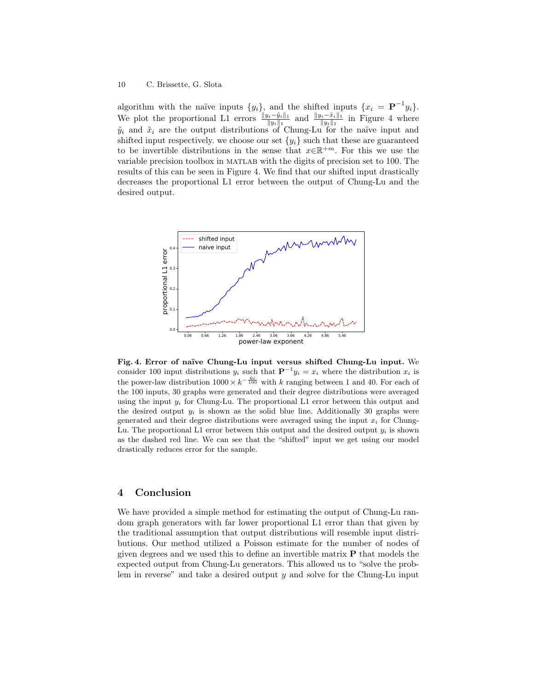#### 10 C. Brissette, G. Slota

algorithm with the naïve inputs  $\{y_i\}$ , and the shifted inputs  $\{x_i = \mathbf{P}^{-1}y_i\}$ . We plot the proportional L1 errors  $\frac{||y_i-\tilde{y}_i||_1}{||y_i||_1}$  and  $\frac{||y_i-\tilde{x}_i||_1}{||y_i||_1}$  in Figure 4 where  $\tilde{y}_i$  and  $\tilde{x}_i$  are the output distributions of Chung-Lu for the naïve input and shifted input respectively. we choose our set  $\{y_i\}$  such that these are guaranteed to be invertible distributions in the sense that  $x \in \mathbb{R}^{+m}$ . For this we use the variable precision toolbox in matlab with the digits of precision set to 100. The results of this can be seen in Figure 4. We find that our shifted input drastically decreases the proportional L1 error between the output of Chung-Lu and the desired output.



Fig. 4. Error of naïve Chung-Lu input versus shifted Chung-Lu input. We consider 100 input distributions  $y_i$  such that  $\mathbf{P}^{-1}y_i = x_i$  where the distribution  $x_i$  is the power-law distribution  $1000 \times k^{-\frac{6i}{100}}$  with k ranging between 1 and 40. For each of the 100 inputs, 30 graphs were generated and their degree distributions were averaged using the input  $y_i$  for Chung-Lu. The proportional L1 error between this output and the desired output  $y_i$  is shown as the solid blue line. Additionally 30 graphs were generated and their degree distributions were averaged using the input  $x_i$  for Chung-Lu. The proportional L1 error between this output and the desired output  $y_i$  is shown as the dashed red line. We can see that the "shifted" input we get using our model drastically reduces error for the sample.

## 4 Conclusion

We have provided a simple method for estimating the output of Chung-Lu random graph generators with far lower proportional L1 error than that given by the traditional assumption that output distributions will resemble input distributions. Our method utilized a Poisson estimate for the number of nodes of given degrees and we used this to define an invertible matrix  $P$  that models the expected output from Chung-Lu generators. This allowed us to "solve the problem in reverse" and take a desired output  $y$  and solve for the Chung-Lu input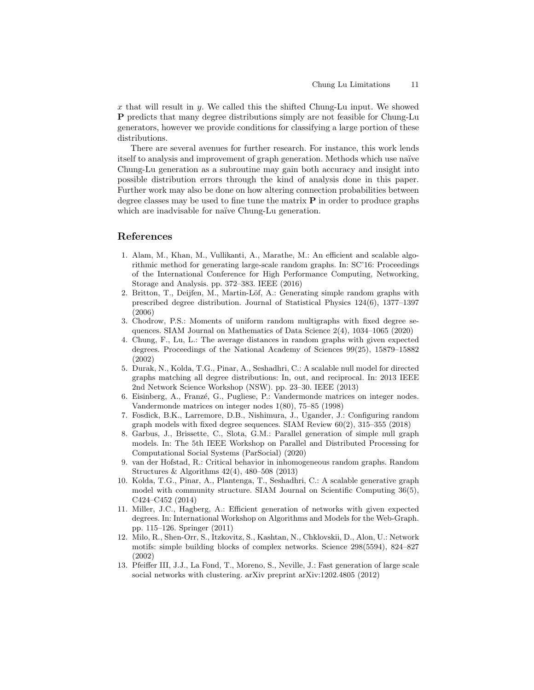x that will result in y. We called this the shifted Chung-Lu input. We showed P predicts that many degree distributions simply are not feasible for Chung-Lu generators, however we provide conditions for classifying a large portion of these distributions.

There are several avenues for further research. For instance, this work lends itself to analysis and improvement of graph generation. Methods which use naïve Chung-Lu generation as a subroutine may gain both accuracy and insight into possible distribution errors through the kind of analysis done in this paper. Further work may also be done on how altering connection probabilities between degree classes may be used to fine tune the matrix  $P$  in order to produce graphs which are inadvisable for naïve Chung-Lu generation.

## References

- 1. Alam, M., Khan, M., Vullikanti, A., Marathe, M.: An efficient and scalable algorithmic method for generating large-scale random graphs. In: SC'16: Proceedings of the International Conference for High Performance Computing, Networking, Storage and Analysis. pp. 372–383. IEEE (2016)
- 2. Britton, T., Deijfen, M., Martin-Löf, A.: Generating simple random graphs with prescribed degree distribution. Journal of Statistical Physics 124(6), 1377–1397 (2006)
- 3. Chodrow, P.S.: Moments of uniform random multigraphs with fixed degree sequences. SIAM Journal on Mathematics of Data Science 2(4), 1034–1065 (2020)
- 4. Chung, F., Lu, L.: The average distances in random graphs with given expected degrees. Proceedings of the National Academy of Sciences 99(25), 15879–15882 (2002)
- 5. Durak, N., Kolda, T.G., Pinar, A., Seshadhri, C.: A scalable null model for directed graphs matching all degree distributions: In, out, and reciprocal. In: 2013 IEEE 2nd Network Science Workshop (NSW). pp. 23–30. IEEE (2013)
- 6. Eisinberg, A., Franzé, G., Pugliese, P.: Vandermonde matrices on integer nodes. Vandermonde matrices on integer nodes 1(80), 75–85 (1998)
- 7. Fosdick, B.K., Larremore, D.B., Nishimura, J., Ugander, J.: Configuring random graph models with fixed degree sequences. SIAM Review 60(2), 315–355 (2018)
- 8. Garbus, J., Brissette, C., Slota, G.M.: Parallel generation of simple null graph models. In: The 5th IEEE Workshop on Parallel and Distributed Processing for Computational Social Systems (ParSocial) (2020)
- 9. van der Hofstad, R.: Critical behavior in inhomogeneous random graphs. Random Structures & Algorithms 42(4), 480–508 (2013)
- 10. Kolda, T.G., Pinar, A., Plantenga, T., Seshadhri, C.: A scalable generative graph model with community structure. SIAM Journal on Scientific Computing 36(5), C424–C452 (2014)
- 11. Miller, J.C., Hagberg, A.: Efficient generation of networks with given expected degrees. In: International Workshop on Algorithms and Models for the Web-Graph. pp. 115–126. Springer (2011)
- 12. Milo, R., Shen-Orr, S., Itzkovitz, S., Kashtan, N., Chklovskii, D., Alon, U.: Network motifs: simple building blocks of complex networks. Science 298(5594), 824–827 (2002)
- 13. Pfeiffer III, J.J., La Fond, T., Moreno, S., Neville, J.: Fast generation of large scale social networks with clustering. arXiv preprint arXiv:1202.4805 (2012)